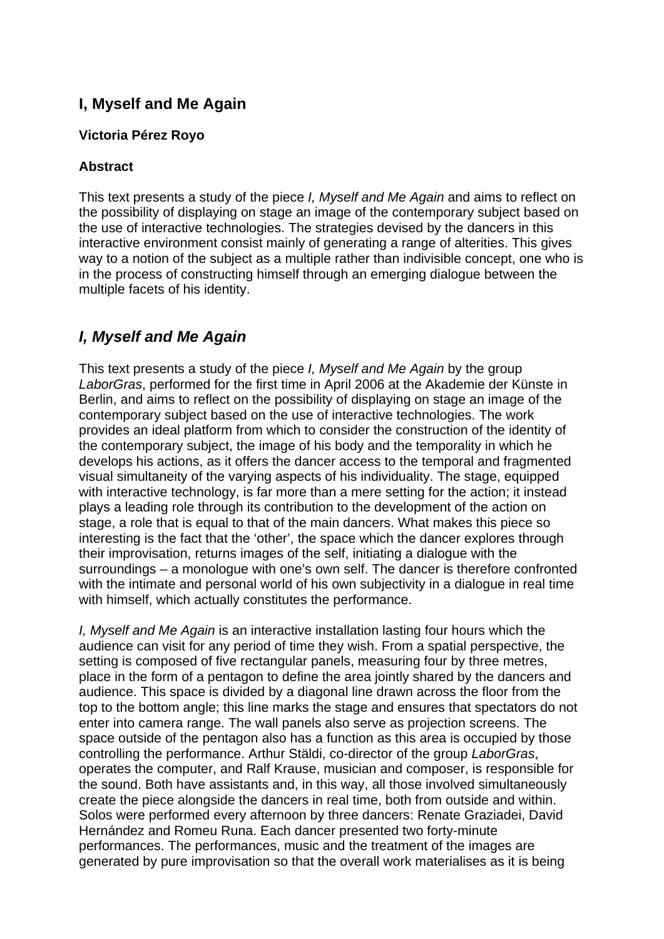# **I, Myself and Me Again**

### **Victoria Pérez Royo**

## **Abstract**

This text presents a study of the piece *I, Myself and Me Again* and aims to reflect on the possibility of displaying on stage an image of the contemporary subject based on the use of interactive technologies. The strategies devised by the dancers in this interactive environment consist mainly of generating a range of alterities. This gives way to a notion of the subject as a multiple rather than indivisible concept, one who is in the process of constructing himself through an emerging dialogue between the multiple facets of his identity.

# *I, Myself and Me Again*

This text presents a study of the piece *I, Myself and Me Again* by the group *LaborGras*, performed for the first time in April 2006 at the Akademie der Künste in Berlin, and aims to reflect on the possibility of displaying on stage an image of the contemporary subject based on the use of interactive technologies. The work provides an ideal platform from which to consider the construction of the identity of the contemporary subject, the image of his body and the temporality in which he develops his actions, as it offers the dancer access to the temporal and fragmented visual simultaneity of the varying aspects of his individuality. The stage, equipped with interactive technology, is far more than a mere setting for the action; it instead plays a leading role through its contribution to the development of the action on stage, a role that is equal to that of the main dancers. What makes this piece so interesting is the fact that the 'other', the space which the dancer explores through their improvisation, returns images of the self, initiating a dialogue with the surroundings – a monologue with one's own self. The dancer is therefore confronted with the intimate and personal world of his own subjectivity in a dialogue in real time with himself, which actually constitutes the performance.

*I, Myself and Me Again* is an interactive installation lasting four hours which the audience can visit for any period of time they wish. From a spatial perspective, the setting is composed of five rectangular panels, measuring four by three metres, place in the form of a pentagon to define the area jointly shared by the dancers and audience. This space is divided by a diagonal line drawn across the floor from the top to the bottom angle; this line marks the stage and ensures that spectators do not enter into camera range. The wall panels also serve as projection screens. The space outside of the pentagon also has a function as this area is occupied by those controlling the performance. Arthur Stäldi, co-director of the group *LaborGras*, operates the computer, and Ralf Krause, musician and composer, is responsible for the sound. Both have assistants and, in this way, all those involved simultaneously create the piece alongside the dancers in real time, both from outside and within. Solos were performed every afternoon by three dancers: Renate Graziadei, David Hernández and Romeu Runa. Each dancer presented two forty-minute performances. The performances, music and the treatment of the images are generated by pure improvisation so that the overall work materialises as it is being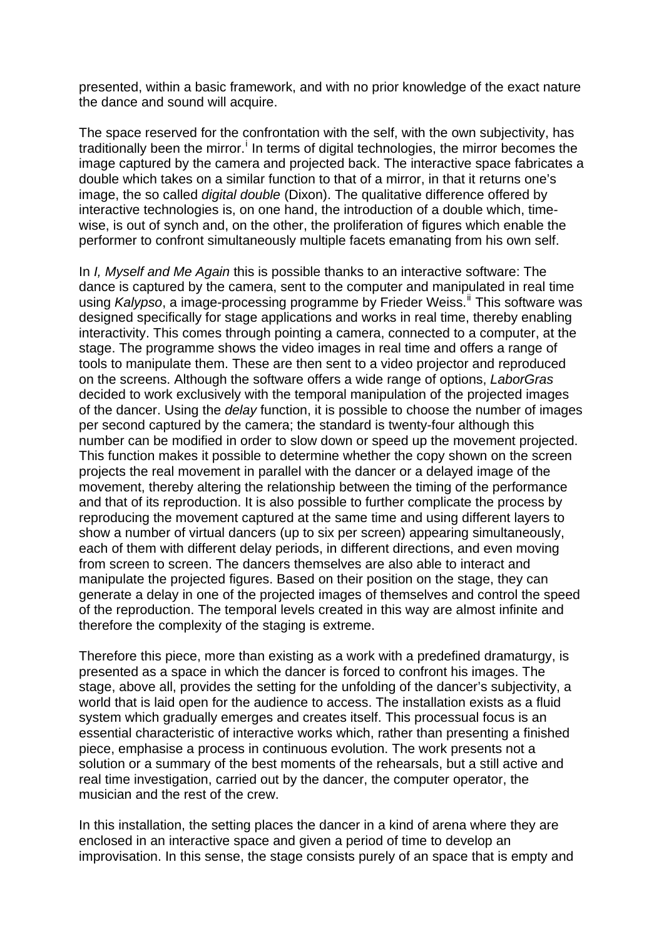presented, within a basic framework, and with no prior knowledge of the exact nature the dance and sound will acquire.

The space reserved for the confrontation with the self, with the own subjectivity, has trad[i](#page-7-0)tionally been the mirror.<sup>i</sup> In terms of digital technologies, the mirror becomes the image captured by the camera and projected back. The interactive space fabricates a double which takes on a similar function to that of a mirror, in that it returns one's image, the so called *digital double* (Dixon). The qualitative difference offered by interactive technologies is, on one hand, the introduction of a double which, timewise, is out of synch and, on the other, the proliferation of figures which enable the performer to confront simultaneously multiple facets emanating from his own self.

In *I, Myself and Me Again* this is possible thanks to an interactive software: The dance is captured by the camera, sent to the computer and manipulated in real time using *Kalypso*, a image-processing programme by Frieder Weiss.<sup>[ii](#page-7-1)</sup> This software was designed specifically for stage applications and works in real time, thereby enabling interactivity. This comes through pointing a camera, connected to a computer, at the stage. The programme shows the video images in real time and offers a range of tools to manipulate them. These are then sent to a video projector and reproduced on the screens. Although the software offers a wide range of options, *LaborGras* decided to work exclusively with the temporal manipulation of the projected images of the dancer. Using the *delay* function, it is possible to choose the number of images per second captured by the camera; the standard is twenty-four although this number can be modified in order to slow down or speed up the movement projected. This function makes it possible to determine whether the copy shown on the screen projects the real movement in parallel with the dancer or a delayed image of the movement, thereby altering the relationship between the timing of the performance and that of its reproduction. It is also possible to further complicate the process by reproducing the movement captured at the same time and using different layers to show a number of virtual dancers (up to six per screen) appearing simultaneously, each of them with different delay periods, in different directions, and even moving from screen to screen. The dancers themselves are also able to interact and manipulate the projected figures. Based on their position on the stage, they can generate a delay in one of the projected images of themselves and control the speed of the reproduction. The temporal levels created in this way are almost infinite and therefore the complexity of the staging is extreme.

Therefore this piece, more than existing as a work with a predefined dramaturgy, is presented as a space in which the dancer is forced to confront his images. The stage, above all, provides the setting for the unfolding of the dancer's subjectivity, a world that is laid open for the audience to access. The installation exists as a fluid system which gradually emerges and creates itself. This processual focus is an essential characteristic of interactive works which, rather than presenting a finished piece, emphasise a process in continuous evolution. The work presents not a solution or a summary of the best moments of the rehearsals, but a still active and real time investigation, carried out by the dancer, the computer operator, the musician and the rest of the crew.

In this installation, the setting places the dancer in a kind of arena where they are enclosed in an interactive space and given a period of time to develop an improvisation. In this sense, the stage consists purely of an space that is empty and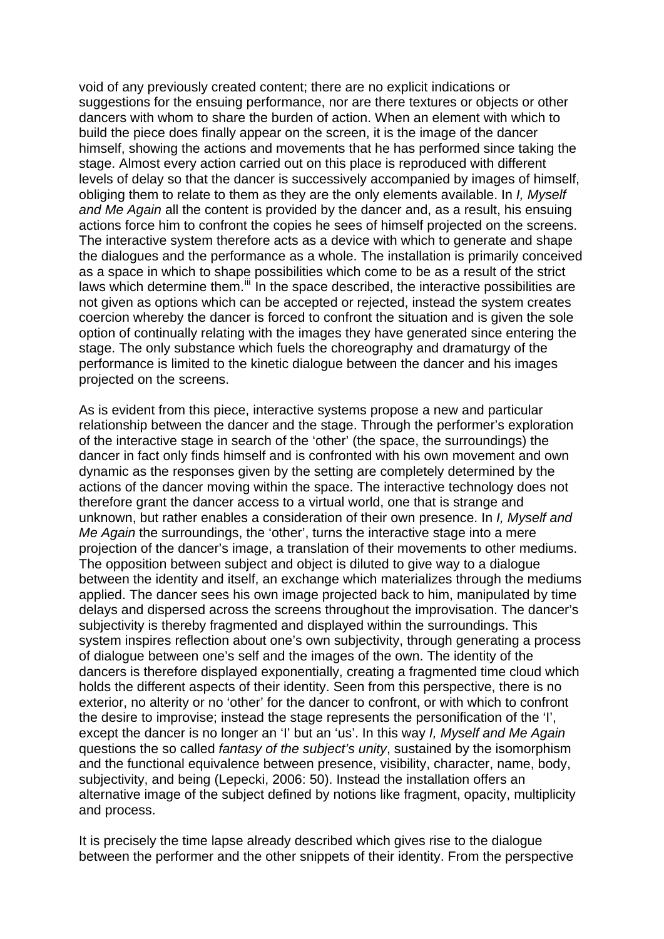void of any previously created content; there are no explicit indications or suggestions for the ensuing performance, nor are there textures or objects or other dancers with whom to share the burden of action. When an element with which to build the piece does finally appear on the screen, it is the image of the dancer himself, showing the actions and movements that he has performed since taking the stage. Almost every action carried out on this place is reproduced with different levels of delay so that the dancer is successively accompanied by images of himself, obliging them to relate to them as they are the only elements available. In *I, Myself and Me Again* all the content is provided by the dancer and, as a result, his ensuing actions force him to confront the copies he sees of himself projected on the screens. The interactive system therefore acts as a device with which to generate and shape the dialogues and the performance as a whole. The installation is primarily conceived as a space in which to shape possibilities which come to be as a result of the strict laws which determine them.<sup>[iii](#page-7-1)</sup> In the space described, the interactive possibilities are not given as options which can be accepted or rejected, instead the system creates coercion whereby the dancer is forced to confront the situation and is given the sole option of continually relating with the images they have generated since entering the stage. The only substance which fuels the choreography and dramaturgy of the performance is limited to the kinetic dialogue between the dancer and his images projected on the screens.

As is evident from this piece, interactive systems propose a new and particular relationship between the dancer and the stage. Through the performer's exploration of the interactive stage in search of the 'other' (the space, the surroundings) the dancer in fact only finds himself and is confronted with his own movement and own dynamic as the responses given by the setting are completely determined by the actions of the dancer moving within the space. The interactive technology does not therefore grant the dancer access to a virtual world, one that is strange and unknown, but rather enables a consideration of their own presence. In *I, Myself and Me Again* the surroundings, the 'other', turns the interactive stage into a mere projection of the dancer's image, a translation of their movements to other mediums. The opposition between subject and object is diluted to give way to a dialogue between the identity and itself, an exchange which materializes through the mediums applied. The dancer sees his own image projected back to him, manipulated by time delays and dispersed across the screens throughout the improvisation. The dancer's subjectivity is thereby fragmented and displayed within the surroundings. This system inspires reflection about one's own subjectivity, through generating a process of dialogue between one's self and the images of the own. The identity of the dancers is therefore displayed exponentially, creating a fragmented time cloud which holds the different aspects of their identity. Seen from this perspective, there is no exterior, no alterity or no 'other' for the dancer to confront, or with which to confront the desire to improvise; instead the stage represents the personification of the 'I', except the dancer is no longer an 'I' but an 'us'. In this way *I, Myself and Me Again* questions the so called *fantasy of the subject's unity*, sustained by the isomorphism and the functional equivalence between presence, visibility, character, name, body, subjectivity, and being (Lepecki, 2006: 50). Instead the installation offers an alternative image of the subject defined by notions like fragment, opacity, multiplicity and process.

It is precisely the time lapse already described which gives rise to the dialogue between the performer and the other snippets of their identity. From the perspective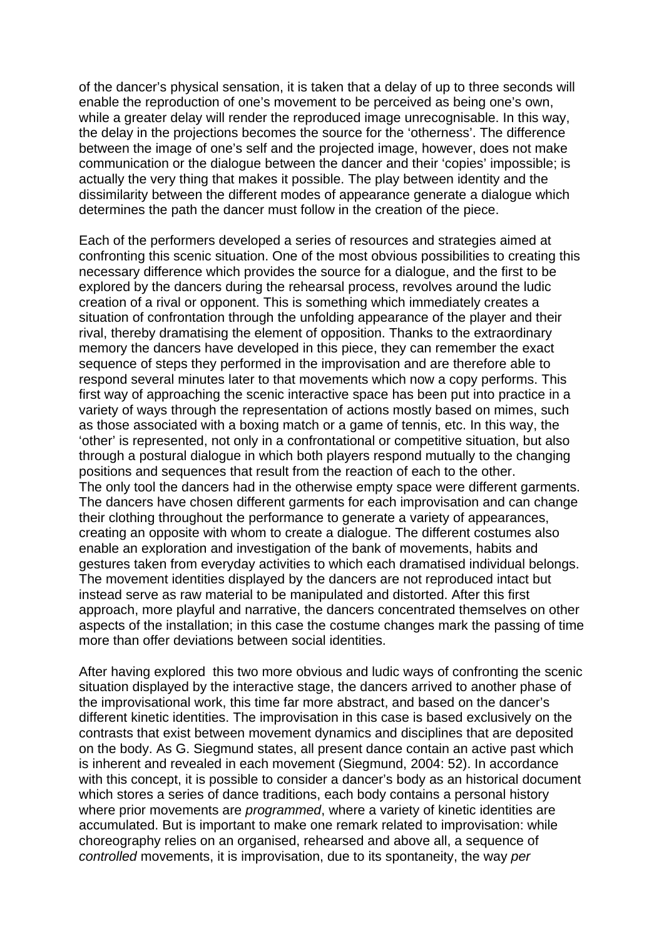of the dancer's physical sensation, it is taken that a delay of up to three seconds will enable the reproduction of one's movement to be perceived as being one's own, while a greater delay will render the reproduced image unrecognisable. In this way, the delay in the projections becomes the source for the 'otherness'. The difference between the image of one's self and the projected image, however, does not make communication or the dialogue between the dancer and their 'copies' impossible; is actually the very thing that makes it possible. The play between identity and the dissimilarity between the different modes of appearance generate a dialogue which determines the path the dancer must follow in the creation of the piece.

Each of the performers developed a series of resources and strategies aimed at confronting this scenic situation. One of the most obvious possibilities to creating this necessary difference which provides the source for a dialogue, and the first to be explored by the dancers during the rehearsal process, revolves around the ludic creation of a rival or opponent. This is something which immediately creates a situation of confrontation through the unfolding appearance of the player and their rival, thereby dramatising the element of opposition. Thanks to the extraordinary memory the dancers have developed in this piece, they can remember the exact sequence of steps they performed in the improvisation and are therefore able to respond several minutes later to that movements which now a copy performs. This first way of approaching the scenic interactive space has been put into practice in a variety of ways through the representation of actions mostly based on mimes, such as those associated with a boxing match or a game of tennis, etc. In this way, the 'other' is represented, not only in a confrontational or competitive situation, but also through a postural dialogue in which both players respond mutually to the changing positions and sequences that result from the reaction of each to the other. The only tool the dancers had in the otherwise empty space were different garments. The dancers have chosen different garments for each improvisation and can change their clothing throughout the performance to generate a variety of appearances, creating an opposite with whom to create a dialogue. The different costumes also enable an exploration and investigation of the bank of movements, habits and gestures taken from everyday activities to which each dramatised individual belongs. The movement identities displayed by the dancers are not reproduced intact but instead serve as raw material to be manipulated and distorted. After this first approach, more playful and narrative, the dancers concentrated themselves on other aspects of the installation; in this case the costume changes mark the passing of time more than offer deviations between social identities.

After having explored this two more obvious and ludic ways of confronting the scenic situation displayed by the interactive stage, the dancers arrived to another phase of the improvisational work, this time far more abstract, and based on the dancer's different kinetic identities. The improvisation in this case is based exclusively on the contrasts that exist between movement dynamics and disciplines that are deposited on the body. As G. Siegmund states, all present dance contain an active past which is inherent and revealed in each movement (Siegmund, 2004: 52). In accordance with this concept, it is possible to consider a dancer's body as an historical document which stores a series of dance traditions, each body contains a personal history where prior movements are *programmed*, where a variety of kinetic identities are accumulated. But is important to make one remark related to improvisation: while choreography relies on an organised, rehearsed and above all, a sequence of *controlled* movements, it is improvisation, due to its spontaneity, the way *per*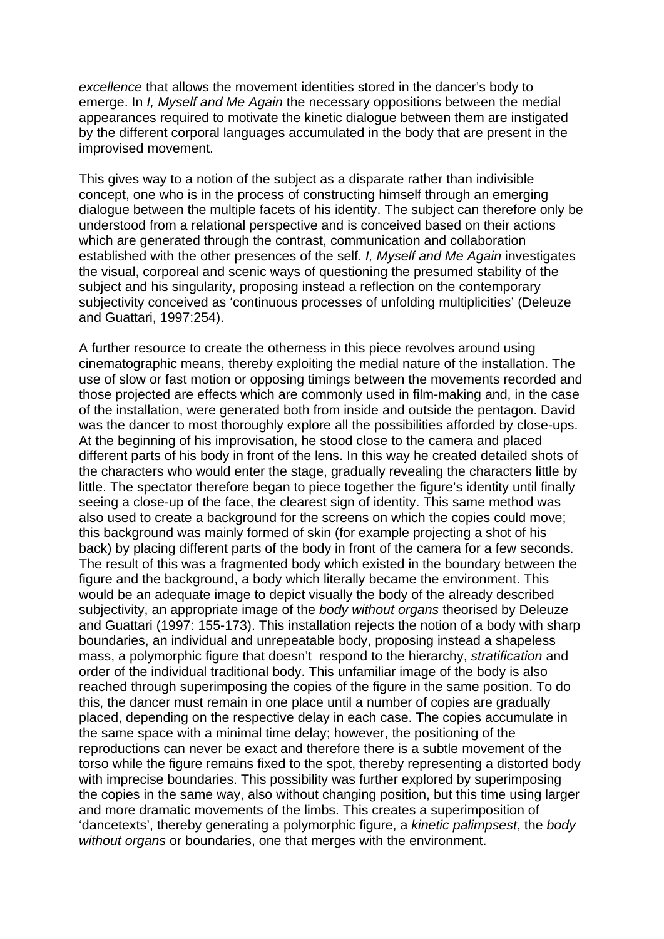*excellence* that allows the movement identities stored in the dancer's body to emerge. In *I, Myself and Me Again* the necessary oppositions between the medial appearances required to motivate the kinetic dialogue between them are instigated by the different corporal languages accumulated in the body that are present in the improvised movement.

This gives way to a notion of the subject as a disparate rather than indivisible concept, one who is in the process of constructing himself through an emerging dialogue between the multiple facets of his identity. The subject can therefore only be understood from a relational perspective and is conceived based on their actions which are generated through the contrast, communication and collaboration established with the other presences of the self. *I, Myself and Me Again* investigates the visual, corporeal and scenic ways of questioning the presumed stability of the subject and his singularity, proposing instead a reflection on the contemporary subjectivity conceived as 'continuous processes of unfolding multiplicities' (Deleuze and Guattari, 1997:254).

A further resource to create the otherness in this piece revolves around using cinematographic means, thereby exploiting the medial nature of the installation. The use of slow or fast motion or opposing timings between the movements recorded and those projected are effects which are commonly used in film-making and, in the case of the installation, were generated both from inside and outside the pentagon. David was the dancer to most thoroughly explore all the possibilities afforded by close-ups. At the beginning of his improvisation, he stood close to the camera and placed different parts of his body in front of the lens. In this way he created detailed shots of the characters who would enter the stage, gradually revealing the characters little by little. The spectator therefore began to piece together the figure's identity until finally seeing a close-up of the face, the clearest sign of identity. This same method was also used to create a background for the screens on which the copies could move; this background was mainly formed of skin (for example projecting a shot of his back) by placing different parts of the body in front of the camera for a few seconds. The result of this was a fragmented body which existed in the boundary between the figure and the background, a body which literally became the environment. This would be an adequate image to depict visually the body of the already described subjectivity, an appropriate image of the *body without organs* theorised by Deleuze and Guattari (1997: 155-173). This installation rejects the notion of a body with sharp boundaries, an individual and unrepeatable body, proposing instead a shapeless mass, a polymorphic figure that doesn't respond to the hierarchy, *stratification* and order of the individual traditional body. This unfamiliar image of the body is also reached through superimposing the copies of the figure in the same position. To do this, the dancer must remain in one place until a number of copies are gradually placed, depending on the respective delay in each case. The copies accumulate in the same space with a minimal time delay; however, the positioning of the reproductions can never be exact and therefore there is a subtle movement of the torso while the figure remains fixed to the spot, thereby representing a distorted body with imprecise boundaries. This possibility was further explored by superimposing the copies in the same way, also without changing position, but this time using larger and more dramatic movements of the limbs. This creates a superimposition of 'dancetexts', thereby generating a polymorphic figure, a *kinetic palimpsest*, the *body without organs* or boundaries, one that merges with the environment.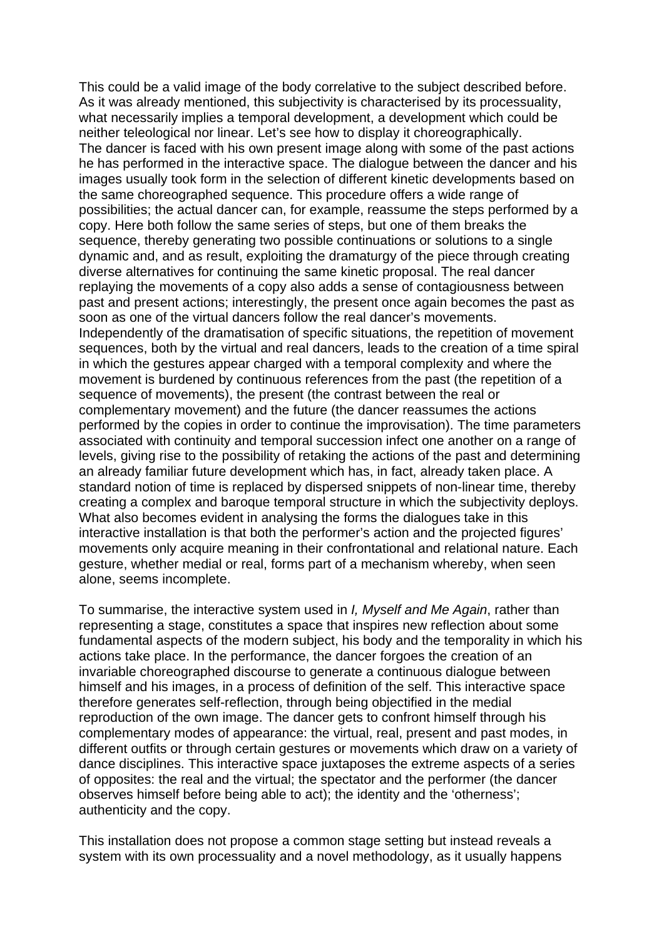This could be a valid image of the body correlative to the subject described before. As it was already mentioned, this subjectivity is characterised by its processuality, what necessarily implies a temporal development, a development which could be neither teleological nor linear. Let's see how to display it choreographically. The dancer is faced with his own present image along with some of the past actions he has performed in the interactive space. The dialogue between the dancer and his images usually took form in the selection of different kinetic developments based on the same choreographed sequence. This procedure offers a wide range of possibilities; the actual dancer can, for example, reassume the steps performed by a copy. Here both follow the same series of steps, but one of them breaks the sequence, thereby generating two possible continuations or solutions to a single dynamic and, and as result, exploiting the dramaturgy of the piece through creating diverse alternatives for continuing the same kinetic proposal. The real dancer replaying the movements of a copy also adds a sense of contagiousness between past and present actions; interestingly, the present once again becomes the past as soon as one of the virtual dancers follow the real dancer's movements. Independently of the dramatisation of specific situations, the repetition of movement sequences, both by the virtual and real dancers, leads to the creation of a time spiral in which the gestures appear charged with a temporal complexity and where the movement is burdened by continuous references from the past (the repetition of a sequence of movements), the present (the contrast between the real or complementary movement) and the future (the dancer reassumes the actions performed by the copies in order to continue the improvisation). The time parameters associated with continuity and temporal succession infect one another on a range of levels, giving rise to the possibility of retaking the actions of the past and determining an already familiar future development which has, in fact, already taken place. A standard notion of time is replaced by dispersed snippets of non-linear time, thereby creating a complex and baroque temporal structure in which the subjectivity deploys. What also becomes evident in analysing the forms the dialogues take in this interactive installation is that both the performer's action and the projected figures' movements only acquire meaning in their confrontational and relational nature. Each gesture, whether medial or real, forms part of a mechanism whereby, when seen alone, seems incomplete.

To summarise, the interactive system used in *I, Myself and Me Again*, rather than representing a stage, constitutes a space that inspires new reflection about some fundamental aspects of the modern subject, his body and the temporality in which his actions take place. In the performance, the dancer forgoes the creation of an invariable choreographed discourse to generate a continuous dialogue between himself and his images, in a process of definition of the self. This interactive space therefore generates self-reflection, through being objectified in the medial reproduction of the own image. The dancer gets to confront himself through his complementary modes of appearance: the virtual, real, present and past modes, in different outfits or through certain gestures or movements which draw on a variety of dance disciplines. This interactive space juxtaposes the extreme aspects of a series of opposites: the real and the virtual; the spectator and the performer (the dancer observes himself before being able to act); the identity and the 'otherness'; authenticity and the copy.

This installation does not propose a common stage setting but instead reveals a system with its own processuality and a novel methodology, as it usually happens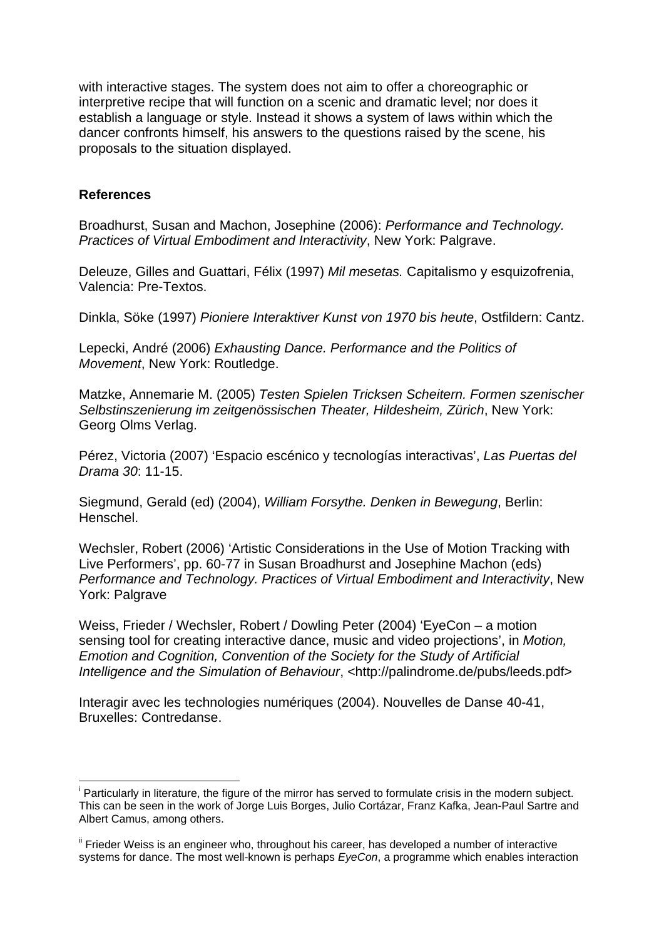with interactive stages. The system does not aim to offer a choreographic or interpretive recipe that will function on a scenic and dramatic level; nor does it establish a language or style. Instead it shows a system of laws within which the dancer confronts himself, his answers to the questions raised by the scene, his proposals to the situation displayed.

#### **References**

<u>.</u>

Broadhurst, Susan and Machon, Josephine (2006): *Performance and Technology. Practices of Virtual Embodiment and Interactivity*, New York: Palgrave.

Deleuze, Gilles and Guattari, Félix (1997) *Mil mesetas.* Capitalismo y esquizofrenia, Valencia: Pre-Textos.

Dinkla, Söke (1997) *Pioniere Interaktiver Kunst von 1970 bis heute*, Ostfildern: Cantz.

Lepecki, André (2006) *Exhausting Dance. Performance and the Politics of Movement*, New York: Routledge.

Matzke, Annemarie M. (2005) *Testen Spielen Tricksen Scheitern. Formen szenischer Selbstinszenierung im zeitgenössischen Theater, Hildesheim, Zürich*, New York: Georg Olms Verlag.

Pérez, Victoria (2007) 'Espacio escénico y tecnologías interactivas', *Las Puertas del Drama 30*: 11-15.

Siegmund, Gerald (ed) (2004), *William Forsythe. Denken in Bewegung*, Berlin: Henschel.

Wechsler, Robert (2006) 'Artistic Considerations in the Use of Motion Tracking with Live Performers', pp. 60-77 in Susan Broadhurst and Josephine Machon (eds) *Performance and Technology. Practices of Virtual Embodiment and Interactivity*, New York: Palgrave

Weiss, Frieder / Wechsler, Robert / Dowling Peter (2004) 'EyeCon – a motion sensing tool for creating interactive dance, music and video projections', in *Motion, Emotion and Cognition, Convention of the Society for the Study of Artificial Intelligence and the Simulation of Behaviour*, <<http://palindrome.de/pubs/leeds.pdf>>

Interagir avec les technologies numériques (2004). Nouvelles de Danse 40-41, Bruxelles: Contredanse.

<sup>&</sup>lt;sup>i</sup> Particularly in literature, the figure of the mirror has served to formulate crisis in the modern subject. This can be seen in the work of Jorge Luis Borges, Julio Cortázar, Franz Kafka, Jean-Paul Sartre and Albert Camus, among others.

ii Frieder Weiss is an engineer who, throughout his career, has developed a number of interactive systems for dance. The most well-known is perhaps *EyeCon*, a programme which enables interaction